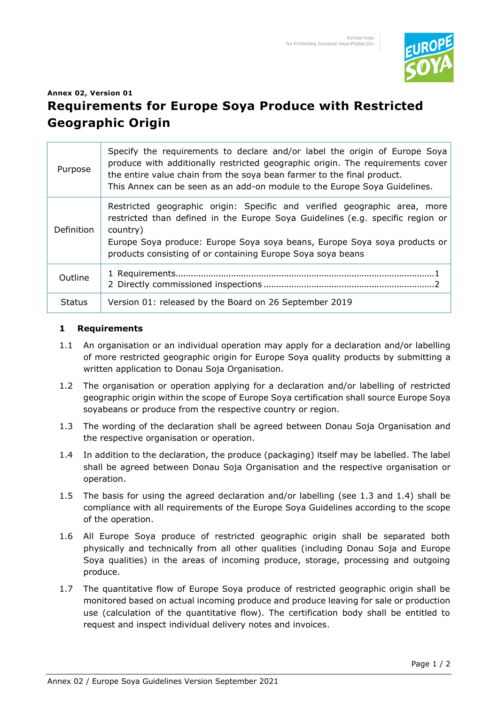

## **Annex 02, Version 01 Requirements for Europe Soya Produce with Restricted Geographic Origin**

| Purpose       | Specify the requirements to declare and/or label the origin of Europe Soya<br>produce with additionally restricted geographic origin. The requirements cover<br>the entire value chain from the soya bean farmer to the final product.<br>This Annex can be seen as an add-on module to the Europe Soya Guidelines. |
|---------------|---------------------------------------------------------------------------------------------------------------------------------------------------------------------------------------------------------------------------------------------------------------------------------------------------------------------|
| Definition    | Restricted geographic origin: Specific and verified geographic area, more<br>restricted than defined in the Europe Soya Guidelines (e.g. specific region or<br>country)<br>Europe Soya produce: Europe Soya soya beans, Europe Soya soya products or<br>products consisting of or containing Europe Soya soya beans |
| Outline       |                                                                                                                                                                                                                                                                                                                     |
| <b>Status</b> | Version 01: released by the Board on 26 September 2019                                                                                                                                                                                                                                                              |

## **1 Requirements**

- 1.1 An organisation or an individual operation may apply for a declaration and/or labelling of more restricted geographic origin for Europe Soya quality products by submitting a written application to Donau Soja Organisation.
- 1.2 The organisation or operation applying for a declaration and/or labelling of restricted geographic origin within the scope of Europe Soya certification shall source Europe Soya soyabeans or produce from the respective country or region.
- 1.3 The wording of the declaration shall be agreed between Donau Soja Organisation and the respective organisation or operation.
- 1.4 In addition to the declaration, the produce (packaging) itself may be labelled. The label shall be agreed between Donau Soja Organisation and the respective organisation or operation.
- 1.5 The basis for using the agreed declaration and/or labelling (see 1.3 and 1.4) shall be compliance with all requirements of the Europe Soya Guidelines according to the scope of the operation.
- 1.6 All Europe Soya produce of restricted geographic origin shall be separated both physically and technically from all other qualities (including Donau Soja and Europe Soya qualities) in the areas of incoming produce, storage, processing and outgoing produce.
- 1.7 The quantitative flow of Europe Soya produce of restricted geographic origin shall be monitored based on actual incoming produce and produce leaving for sale or production use (calculation of the quantitative flow). The certification body shall be entitled to request and inspect individual delivery notes and invoices.